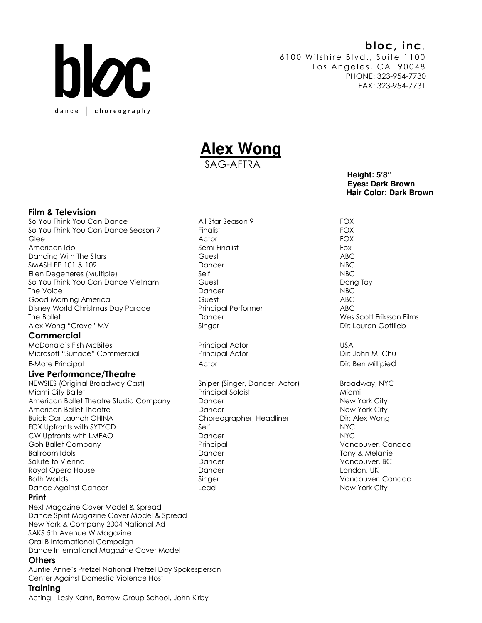## bloc, inc.



6100 Wilshire Blvd., Suite 1100 Los Angeles, CA 90048 PHONE: 323-954-7730 FAX: 323-954-7731

# **Alex Wong**

SAG-AFTRA

 **Height: 5'8" Eyes: Dark Brown Hair Color: Dark Brown** 

### Film & Television

So You Think You Can Dance All Star Season 9 FOX So You Think You Can Dance Season 7 Finalist FOX FOX Glee Actor FOX American Idol Semi Finalist Fox Dancing With The Stars **CONFORT ABC** Guest **ABC ABC ABC** SMASH EP 101 & 109 Dancer Dancer NBC Ellen Degeneres (Multiple) Self NBC So You Think You Can Dance Vietnam Guest Guest Guest Dong Tay The Voice and the Voice of the Voice of the Voice of the Voice of the Voice of the Voice of the Voice of the V Good Morning America Guest ABC Disney World Christmas Day Parade Principal Performer ABC The Ballet **The Ballet Contract Contract Contract Contract Contract Contract Contract Contract Contract Contract Contract Contract Dancer Contract Operation Contract Contract Contract Contract Contract Contract Contract Co** Alex Wong "Crave" MV **Singer** Singer **Dir: Lauren Gottlieb** 

### **Commercial**

McDonald's Fish McBites Principal Actor USA Microsoft "Surface" Commercial Principal Actor Principal Actor Dir: John M. Chu

### Live Performance/Theatre

NEWSIES (Original Broadway Cast) Sniper (Singer, Dancer, Actor) Broadway, NYC Miami City Ballet Principal Soloist Miami American Ballet Theatre Studio Company Dancer New York City American Ballet Theatre New York City New York City Buick Car Launch CHINA Choreographer, Headliner Choreographer Dir: Alex Wong<br>FOX Upfronts with SYTYCD Self Self FOX Upfronts with SYTYCD Self CW Upfronts with LMFAO Dancer NYC Goh Ballet Company Principal Vancouver, Canada Ballroom Idols **Ballroom Idols Dancer** Dancer **Tony & Melanie** Salute to Vienna Dancer Vancouver, BC Royal Opera House **Dancer** Dancer **London, UK** Both Worlds Singer Singer Singer States of the Vancouver, Canada Dance Against Cancer Lead New York City

### Print

Next Magazine Cover Model & Spread Dance Spirit Magazine Cover Model & Spread New York & Company 2004 National Ad SAKS 5th Avenue W Magazine Oral B International Campaign Dance International Magazine Cover Model

### Others

Auntie Anne's Pretzel National Pretzel Day Spokesperson Center Against Domestic Violence Host

### **Training**

Acting - Lesly Kahn, Barrow Group School, John Kirby

E-Mote Principal and the Contractor Contractor Actor Actor Contractor Dir: Ben Millipied